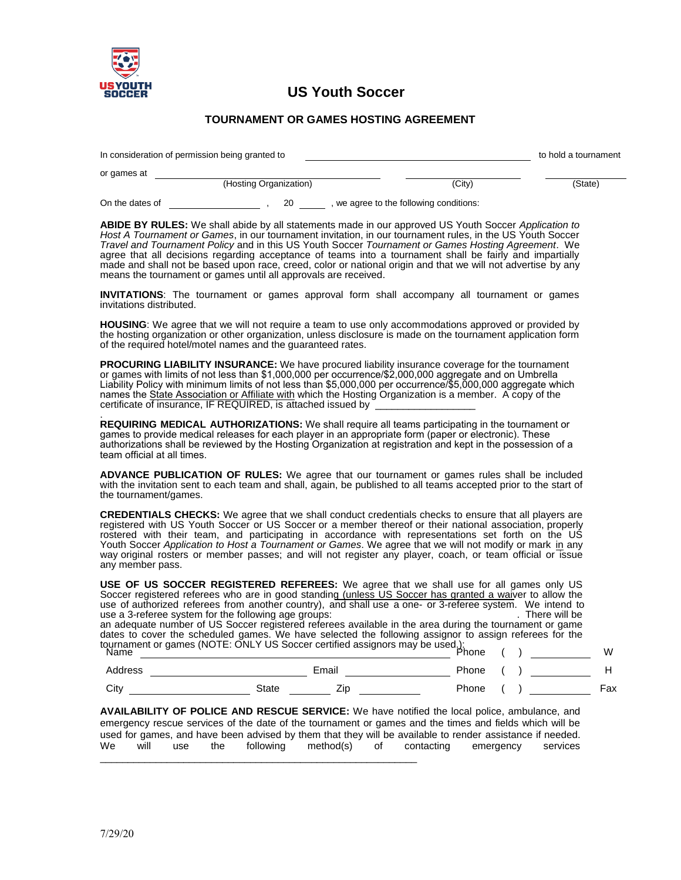

## **US Youth Soccer**

## **TOURNAMENT OR GAMES HOSTING AGREEMENT**

| In consideration of permission being granted to | to hold a tournament   |                                         |         |
|-------------------------------------------------|------------------------|-----------------------------------------|---------|
| or games at                                     |                        |                                         |         |
|                                                 | (Hosting Organization) | (Citv)                                  | (State) |
| On the dates of                                 | 20                     | , we agree to the following conditions: |         |

**ABIDE BY RULES:** We shall abide by all statements made in our approved US Youth Soccer *Application to Host A Tournament or Games*, in our tournament invitation, in our tournament rules, in the US Youth Soccer *Travel and Tournament Policy* and in this US Youth Soccer *Tournament or Games Hosting Agreement*. We agree that all decisions regarding acceptance of teams into a tournament shall be fairly and impartially made and shall not be based upon race, creed, color or national origin and that we will not advertise by any means the tournament or games until all approvals are received.

**INVITATIONS**: The tournament or games approval form shall accompany all tournament or games invitations distributed.

**HOUSING**: We agree that we will not require a team to use only accommodations approved or provided by the hosting organization or other organization, unless disclosure is made on the tournament application form of the required hotel/motel names and the guaranteed rates.

**PROCURING LIABILITY INSURANCE:** We have procured liability insurance coverage for the tournament or games with limits of not less than \$1,000,000 per occurrence/\$2,000,000 aggregate and on Umbrella Liability Policy with minimum limits of not less than \$5,000,000 per occurrence/\$5,000,000 aggregate which names the State Association or Affiliate with which the Hosting Organization is a member. A copy of the certificate of insurance, IF REQUIRED, is attached issued by

. **REQUIRING MEDICAL AUTHORIZATIONS:** We shall require all teams participating in the tournament or games to provide medical releases for each player in an appropriate form (paper or electronic). These authorizations shall be reviewed by the Hosting Organization at registration and kept in the possession of a team official at all times.

**ADVANCE PUBLICATION OF RULES:** We agree that our tournament or games rules shall be included with the invitation sent to each team and shall, again, be published to all teams accepted prior to the start of the tournament/games.

**CREDENTIALS CHECKS:** We agree that we shall conduct credentials checks to ensure that all players are registered with US Youth Soccer or US Soccer or a member thereof or their national association, properly rostered with their team, and participating in accordance with representations set forth on the US Youth Soccer Application to Host a Tournament or Games. We agree that we will not modify or mark in any way original rosters or member passes; and will not register any player, coach, or team official or issue any member pass.

**USE OF US SOCCER REGISTERED REFEREES:** We agree that we shall use for all games only US Soccer registered referees who are in good standing (unless US Soccer has granted a waiver to allow the use of authorized referees from another country), and shall use a one- or 3-referee system. We intend to use a 3-referee system for the following age groups: use a 3-referee system for the following age groups: an adequate number of US Soccer registered referees available in the area during the tournament or game dates to cover the scheduled games. We have selected the following assignor to assign referees for the tournament or games (NOTE: ONLY US Soccer certified assignors may be used.): Name Phone ( ) W

| Address | Email |         | Phone |       |  |     |
|---------|-------|---------|-------|-------|--|-----|
| City    | State | --<br>ᅬ |       | Phone |  | =ax |

**AVAILABILITY OF POLICE AND RESCUE SERVICE:** We have notified the local police, ambulance, and emergency rescue services of the date of the tournament or games and the times and fields which will be used for games, and have been advised by them that they will be available to render assistance if needed. We will use the following method(s) of contacting emergency services \_\_\_\_\_\_\_\_\_\_\_\_\_\_\_\_\_\_\_\_\_\_\_\_\_\_\_\_\_\_\_\_\_\_\_\_\_\_\_\_\_\_\_\_\_\_\_\_\_\_\_\_\_\_\_\_\_